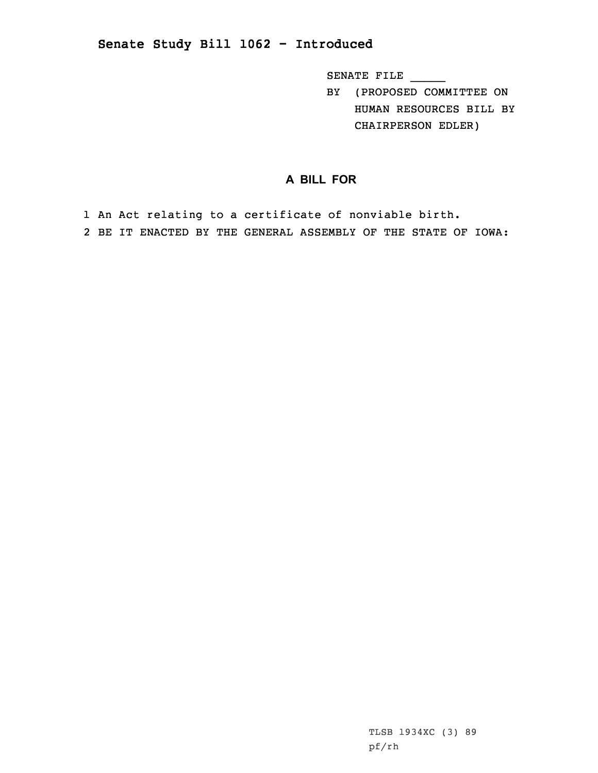## **Senate Study Bill 1062 - Introduced**

SENATE FILE \_\_\_\_\_

BY (PROPOSED COMMITTEE ON HUMAN RESOURCES BILL BY CHAIRPERSON EDLER)

## **A BILL FOR**

1 An Act relating to <sup>a</sup> certificate of nonviable birth. 2 BE IT ENACTED BY THE GENERAL ASSEMBLY OF THE STATE OF IOWA: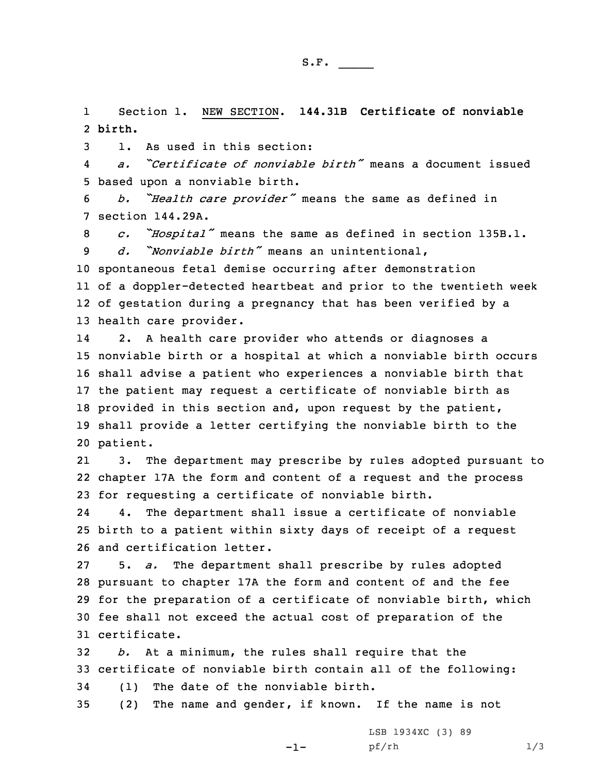1 Section 1. NEW SECTION. **144.31B Certificate of nonviable** 2 **birth.**

3 1. As used in this section:

4 *a. "Certificate of nonviable birth"* means <sup>a</sup> document issued 5 based upon <sup>a</sup> nonviable birth.

<sup>6</sup> *b. "Health care provider"* means the same as defined in 7 section 144.29A.

<sup>8</sup> *c. "Hospital"* means the same as defined in section 135B.1. 9 *d. "Nonviable birth"* means an unintentional,

 spontaneous fetal demise occurring after demonstration of <sup>a</sup> doppler-detected heartbeat and prior to the twentieth week of gestation during <sup>a</sup> pregnancy that has been verified by <sup>a</sup> health care provider.

14 2. <sup>A</sup> health care provider who attends or diagnoses <sup>a</sup> nonviable birth or <sup>a</sup> hospital at which <sup>a</sup> nonviable birth occurs shall advise <sup>a</sup> patient who experiences <sup>a</sup> nonviable birth that the patient may request <sup>a</sup> certificate of nonviable birth as provided in this section and, upon request by the patient, shall provide <sup>a</sup> letter certifying the nonviable birth to the 20 patient.

21 3. The department may prescribe by rules adopted pursuant to 22 chapter 17A the form and content of <sup>a</sup> request and the process 23 for requesting <sup>a</sup> certificate of nonviable birth.

24 4. The department shall issue <sup>a</sup> certificate of nonviable 25 birth to <sup>a</sup> patient within sixty days of receipt of <sup>a</sup> request 26 and certification letter.

 5. *a.* The department shall prescribe by rules adopted pursuant to chapter 17A the form and content of and the fee for the preparation of <sup>a</sup> certificate of nonviable birth, which fee shall not exceed the actual cost of preparation of the certificate.

32 *b.* At <sup>a</sup> minimum, the rules shall require that the 33 certificate of nonviable birth contain all of the following: 34 (1) The date of the nonviable birth.

 $-1-$ 

35 (2) The name and gender, if known. If the name is not

LSB 1934XC (3) 89 pf/rh 1/3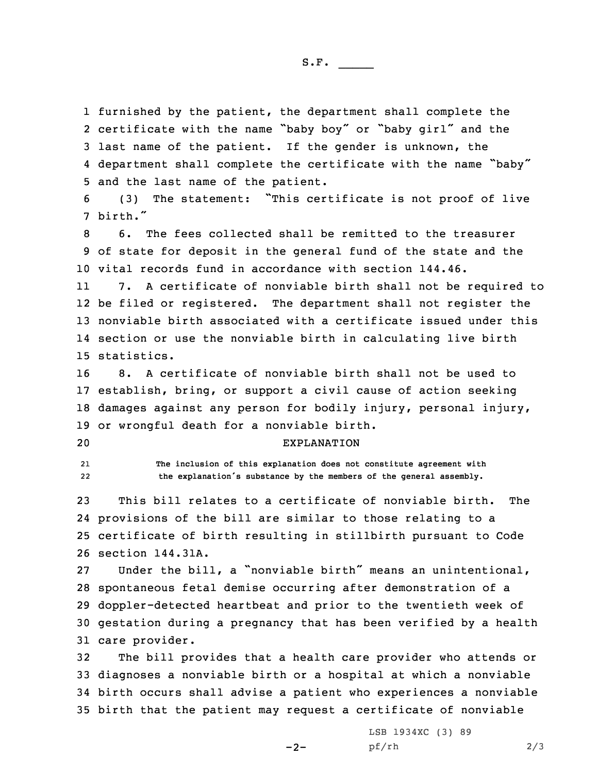furnished by the patient, the department shall complete the certificate with the name "baby boy" or "baby girl" and the last name of the patient. If the gender is unknown, the department shall complete the certificate with the name "baby" and the last name of the patient.

<sup>6</sup> (3) The statement: "This certificate is not proof of live 7 birth."

8 6. The fees collected shall be remitted to the treasurer 9 of state for deposit in the general fund of the state and the 10 vital records fund in accordance with section 144.46.

11 7. <sup>A</sup> certificate of nonviable birth shall not be required to be filed or registered. The department shall not register the nonviable birth associated with <sup>a</sup> certificate issued under this section or use the nonviable birth in calculating live birth statistics.

 8. A certificate of nonviable birth shall not be used to establish, bring, or support <sup>a</sup> civil cause of action seeking damages against any person for bodily injury, personal injury, or wrongful death for <sup>a</sup> nonviable birth.

## 20 EXPLANATION

2122  **The inclusion of this explanation does not constitute agreement with the explanation's substance by the members of the general assembly.**

 This bill relates to <sup>a</sup> certificate of nonviable birth. The provisions of the bill are similar to those relating to <sup>a</sup> certificate of birth resulting in stillbirth pursuant to Code section 144.31A.

 Under the bill, <sup>a</sup> "nonviable birth" means an unintentional, spontaneous fetal demise occurring after demonstration of <sup>a</sup> doppler-detected heartbeat and prior to the twentieth week of gestation during <sup>a</sup> pregnancy that has been verified by <sup>a</sup> health care provider.

 The bill provides that <sup>a</sup> health care provider who attends or diagnoses <sup>a</sup> nonviable birth or <sup>a</sup> hospital at which <sup>a</sup> nonviable birth occurs shall advise <sup>a</sup> patient who experiences <sup>a</sup> nonviable birth that the patient may request <sup>a</sup> certificate of nonviable

 $-2-$ 

LSB 1934XC (3) 89 pf/rh 2/3